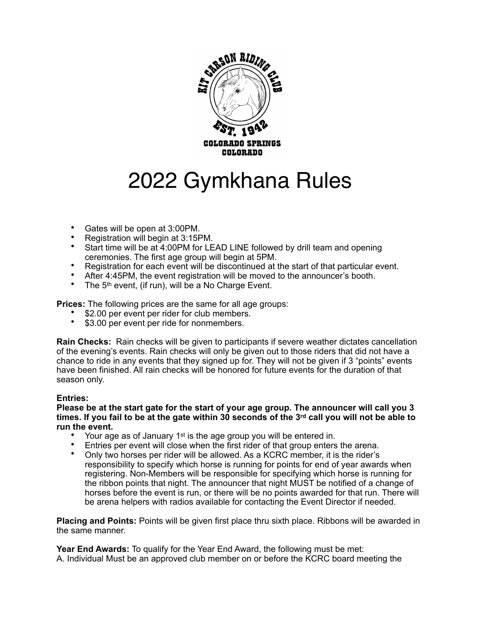

# 2022 Gymkhana Rules

- Gates will be open at 3:00PM.
- Registration will begin at 3:15PM.
- Start time will be at 4:00PM for LEAD LINE followed by drill team and opening ceremonies. The first age group will begin at 5PM.
- Registration for each event will be discontinued at the start of that particular event.
- After 4:45PM, the event registration will be moved to the announcer's booth.
- The 5<sup>th</sup> event, (if run), will be a No Charge Event.

**Prices:** The following prices are the same for all age groups:

- \$2.00 per event per rider for club members.
- \$3.00 per event per ride for nonmembers.

**Rain Checks:** Rain checks will be given to participants if severe weather dictates cancellation of the evening's events. Rain checks will only be given out to those riders that did not have a chance to ride in any events that they signed up for. They will not be given if 3 "points" events have been finished. All rain checks will be honored for future events for the duration of that season only.

## **Entries:**

**Please be at the start gate for the start of your age group. The announcer will call you 3 times. If you fail to be at the gate within 30 seconds of the 3rd call you will not be able to run the event.** 

- Your age as of January 1<sup>st</sup> is the age group you will be entered in.
- Entries per event will close when the first rider of that group enters the arena.
- Only two horses per rider will be allowed. As a KCRC member, it is the rider's responsibility to specify which horse is running for points for end of year awards when registering. Non-Members will be responsible for specifying which horse is running for the ribbon points that night. The announcer that night MUST be notified of a change of horses before the event is run, or there will be no points awarded for that run. There will be arena helpers with radios available for contacting the Event Director if needed.

**Placing and Points:** Points will be given first place thru sixth place. Ribbons will be awarded in the same manner.

**Year End Awards:** To qualify for the Year End Award, the following must be met: A. Individual Must be an approved club member on or before the KCRC board meeting the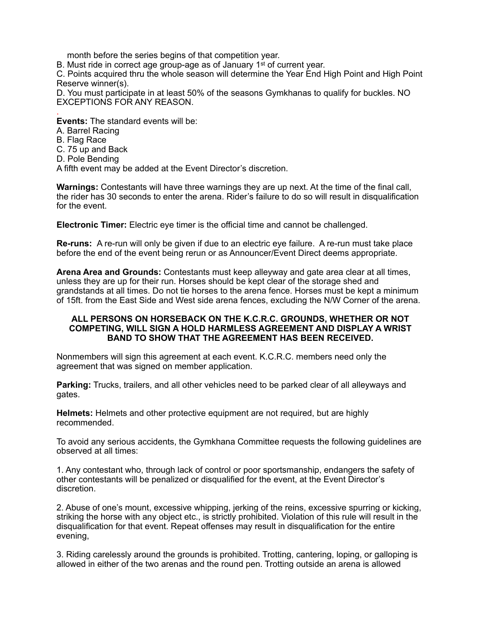month before the series begins of that competition year.

B. Must ride in correct age group-age as of January 1st of current year.

C. Points acquired thru the whole season will determine the Year End High Point and High Point Reserve winner(s).

D. You must participate in at least 50% of the seasons Gymkhanas to qualify for buckles. NO EXCEPTIONS FOR ANY REASON.

**Events:** The standard events will be:

- A. Barrel Racing
- B. Flag Race

.

- C. 75 up and Back
- D. Pole Bending

A fifth event may be added at the Event Director's discretion.

**Warnings:** Contestants will have three warnings they are up next. At the time of the final call, the rider has 30 seconds to enter the arena. Rider's failure to do so will result in disqualification for the event.

**Electronic Timer:** Electric eye timer is the official time and cannot be challenged.

**Re-runs:** A re-run will only be given if due to an electric eye failure. A re-run must take place before the end of the event being rerun or as Announcer/Event Direct deems appropriate.

**Arena Area and Grounds:** Contestants must keep alleyway and gate area clear at all times, unless they are up for their run. Horses should be kept clear of the storage shed and grandstands at all times. Do not tie horses to the arena fence. Horses must be kept a minimum of 15ft. from the East Side and West side arena fences, excluding the N/W Corner of the arena.

#### **ALL PERSONS ON HORSEBACK ON THE K.C.R.C. GROUNDS, WHETHER OR NOT COMPETING, WILL SIGN A HOLD HARMLESS AGREEMENT AND DISPLAY A WRIST BAND TO SHOW THAT THE AGREEMENT HAS BEEN RECEIVED.**

Nonmembers will sign this agreement at each event. K.C.R.C. members need only the agreement that was signed on member application.

**Parking:** Trucks, trailers, and all other vehicles need to be parked clear of all alleyways and gates.

**Helmets:** Helmets and other protective equipment are not required, but are highly recommended.

To avoid any serious accidents, the Gymkhana Committee requests the following guidelines are observed at all times:

1. Any contestant who, through lack of control or poor sportsmanship, endangers the safety of other contestants will be penalized or disqualified for the event, at the Event Director's discretion.

2. Abuse of one's mount, excessive whipping, jerking of the reins, excessive spurring or kicking, striking the horse with any object etc., is strictly prohibited. Violation of this rule will result in the disqualification for that event. Repeat offenses may result in disqualification for the entire evening,

3. Riding carelessly around the grounds is prohibited. Trotting, cantering, loping, or galloping is allowed in either of the two arenas and the round pen. Trotting outside an arena is allowed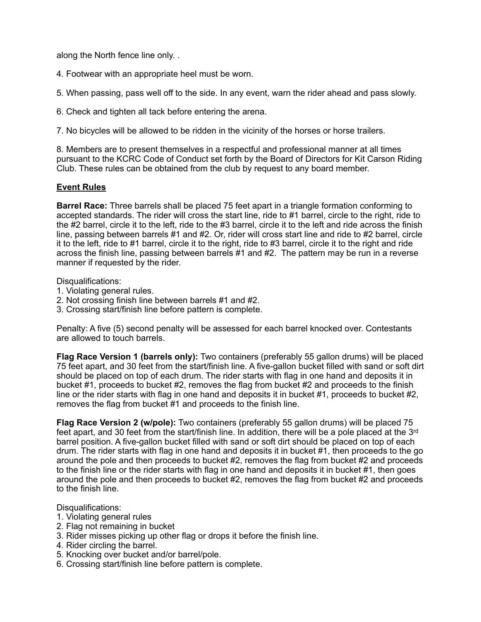along the North fence line only. .

- 4. Footwear with an appropriate heel must be worn.
- 5. When passing, pass well off to the side. In any event, warn the rider ahead and pass slowly.
- 6. Check and tighten all tack before entering the arena.

7. No bicycles will be allowed to be ridden in the vicinity of the horses or horse trailers.

8. Members are to present themselves in a respectful and professional manner at all times pursuant to the KCRC Code of Conduct set forth by the Board of Directors for Kit Carson Riding Club. These rules can be obtained from the club by request to any board member.

## **Event Rules**

**Barrel Race:** Three barrels shall be placed 75 feet apart in a triangle formation conforming to accepted standards. The rider will cross the start line, ride to #1 barrel, circle to the right, ride to the #2 barrel, circle it to the left, ride to the #3 barrel, circle it to the left and ride across the finish line, passing between barrels #1 and #2. Or, rider will cross start line and ride to #2 barrel, circle it to the left, ride to #1 barrel, circle it to the right, ride to #3 barrel, circle it to the right and ride across the finish line, passing between barrels #1 and #2. The pattern may be run in a reverse manner if requested by the rider.

Disqualifications:

- 1. Violating general rules.
- 2. Not crossing finish line between barrels #1 and #2.
- 3. Crossing start/finish line before pattern is complete.

Penalty: A five (5) second penalty will be assessed for each barrel knocked over. Contestants are allowed to touch barrels.

**Flag Race Version 1 (barrels only):** Two containers (preferably 55 gallon drums) will be placed 75 feet apart, and 30 feet from the start/finish line. A five-gallon bucket filled with sand or soft dirt should be placed on top of each drum. The rider starts with flag in one hand and deposits it in bucket #1, proceeds to bucket #2, removes the flag from bucket #2 and proceeds to the finish line or the rider starts with flag in one hand and deposits it in bucket #1, proceeds to bucket #2, removes the flag from bucket #1 and proceeds to the finish line.

**Flag Race Version 2 (w/pole):** Two containers (preferably 55 gallon drums) will be placed 75 feet apart, and 30 feet from the start/finish line. In addition, there will be a pole placed at the 3rd barrel position. A five-gallon bucket filled with sand or soft dirt should be placed on top of each drum. The rider starts with flag in one hand and deposits it in bucket #1, then proceeds to the go around the pole and then proceeds to bucket #2, removes the flag from bucket #2 and proceeds to the finish line or the rider starts with flag in one hand and deposits it in bucket #1, then goes around the pole and then proceeds to bucket #2, removes the flag from bucket #2 and proceeds to the finish line.

#### Disqualifications:

- 1. Violating general rules
- 2. Flag not remaining in bucket
- 3. Rider misses picking up other flag or drops it before the finish line.
- 4. Rider circling the barrel.
- 5. Knocking over bucket and/or barrel/pole.
- 6. Crossing start/finish line before pattern is complete.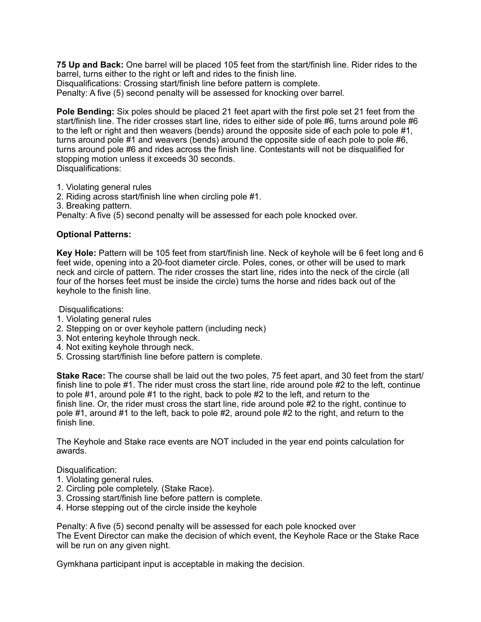**75 Up and Back:** One barrel will be placed 105 feet from the start/finish line. Rider rides to the barrel, turns either to the right or left and rides to the finish line. Disqualifications: Crossing start/finish line before pattern is complete.

Penalty: A five (5) second penalty will be assessed for knocking over barrel.

**Pole Bending:** Six poles should be placed 21 feet apart with the first pole set 21 feet from the start/finish line. The rider crosses start line, rides to either side of pole #6, turns around pole #6 to the left or right and then weavers (bends) around the opposite side of each pole to pole #1, turns around pole #1 and weavers (bends) around the opposite side of each pole to pole #6, turns around pole #6 and rides across the finish line. Contestants will not be disqualified for stopping motion unless it exceeds 30 seconds. Disqualifications:

1. Violating general rules

2. Riding across start/finish line when circling pole #1.

3. Breaking pattern.

Penalty: A five (5) second penalty will be assessed for each pole knocked over.

### **Optional Patterns:**

**Key Hole:** Pattern will be 105 feet from start/finish line. Neck of keyhole will be 6 feet long and 6 feet wide, opening into a 20-foot diameter circle. Poles, cones, or other will be used to mark neck and circle of pattern. The rider crosses the start line, rides into the neck of the circle (all four of the horses feet must be inside the circle) turns the horse and rides back out of the keyhole to the finish line.

Disqualifications:

- 1. Violating general rules
- 2. Stepping on or over keyhole pattern (including neck)
- 3. Not entering keyhole through neck.
- 4. Not exiting keyhole through neck.
- 5. Crossing start/finish line before pattern is complete.

**Stake Race:** The course shall be laid out the two poles, 75 feet apart, and 30 feet from the start/ finish line to pole #1. The rider must cross the start line, ride around pole #2 to the left, continue to pole #1, around pole #1 to the right, back to pole #2 to the left, and return to the finish line. Or, the rider must cross the start line, ride around pole #2 to the right, continue to pole #1, around #1 to the left, back to pole #2, around pole #2 to the right, and return to the finish line.

The Keyhole and Stake race events are NOT included in the year end points calculation for awards.

Disqualification:

- 1. Violating general rules.
- 2. Circling pole completely. (Stake Race).
- 3. Crossing start/finish line before pattern is complete.
- 4. Horse stepping out of the circle inside the keyhole

Penalty: A five (5) second penalty will be assessed for each pole knocked over The Event Director can make the decision of which event, the Keyhole Race or the Stake Race will be run on any given night.

Gymkhana participant input is acceptable in making the decision.